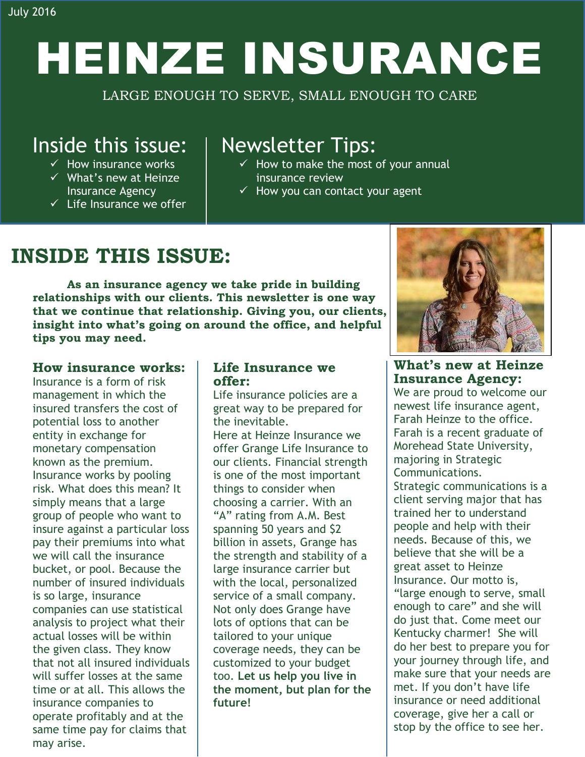# HEINZE INSURANCE

LARGE ENOUGH TO SERVE, SMALL ENOUGH TO CARE

## Inside this issue:

- $\checkmark$  How insurance works
- $\checkmark$  What's new at Heinze Insurance Agency
- $\checkmark$  Life Insurance we offer

## Newsletter Tips:

- $\checkmark$  How to make the most of your annual insurance review
- $\checkmark$  How you can contact your agent

# **INSIDE THIS ISSUE:**

**As an insurance agency we take pride in building relationships with our clients. This newsletter is one way that we continue that relationship. Giving you, our clients, insight into what's going on around the office, and helpful tips you may need.** 

## **How insurance works:**

Insurance is a form of risk management in which the insured transfers the cost of potential loss to another entity in exchange for monetary compensation known as the [premium.](http://www.investopedia.com/terms/p/premium.asp) Insurance works by pooling risk. What does this mean? It simply means that a large group of people who want to insure against a particular loss pay their premiums into what we will call the insurance bucket, or pool. Because the number of insured individuals is so large, insurance companies can use statistical analysis to project what their actual losses will be within the given class. They know that not all insured individuals will suffer losses at the same time or at all. This allows the insurance companies to operate profitably and at the same time pay for claims that may arise.

## **Life Insurance we offer:**

Life insurance policies are a great way to be prepared for the inevitable. Here at Heinze Insurance we offer Grange Life Insurance to our clients. Financial strength is one of the most important things to consider when choosing a carrier. With an "A" rating from A.M. Best spanning 50 years and \$2 billion in assets, Grange has the strength and stability of a large insurance carrier but with the local, personalized service of a small company. Not only does Grange have lots of options that can be tailored to your unique coverage needs, they can be customized to your budget too. **Let us help you live in the moment, but plan for the future!**



**What's new at Heinze Insurance Agency:**

We are proud to welcome our newest life insurance agent, Farah Heinze to the office. Farah is a recent graduate of Morehead State University, majoring in Strategic Communications.

Strategic communications is a client serving major that has trained her to understand people and help with their needs. Because of this, we believe that she will be a great asset to Heinze Insurance. Our motto is, "large enough to serve, small enough to care" and she will do just that. Come meet our Kentucky charmer! She will do her best to prepare you for your journey through life, and make sure that your needs are met. If you don't have life insurance or need additional coverage, give her a call or stop by the office to see her.